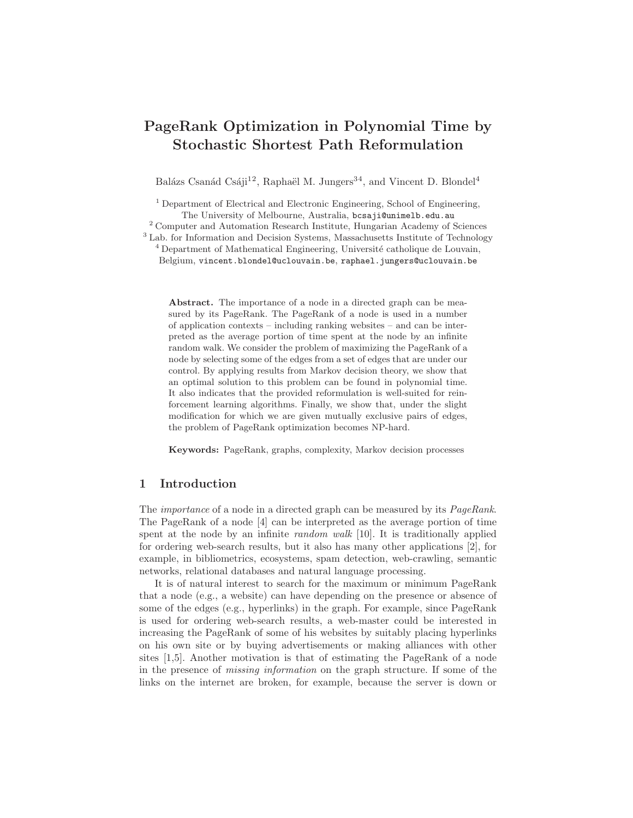# PageRank Optimization in Polynomial Time by Stochastic Shortest Path Reformulation

Balázs Csanád Csáji<sup>12</sup>, Raphaël M. Jungers<sup>34</sup>, and Vincent D. Blondel<sup>4</sup>

<sup>1</sup> Department of Electrical and Electronic Engineering, School of Engineering, The University of Melbourne, Australia, bcsaji@unimelb.edu.au

 $^2$  Computer and Automation Research Institute, Hungarian Academy of Sciences <sup>3</sup> Lab. for Information and Decision Systems, Massachusetts Institute of Technology  $4$  Department of Mathematical Engineering, Université catholique de Louvain,

Belgium, vincent.blondel@uclouvain.be, raphael.jungers@uclouvain.be

Abstract. The importance of a node in a directed graph can be measured by its PageRank. The PageRank of a node is used in a number of application contexts – including ranking websites – and can be interpreted as the average portion of time spent at the node by an infinite random walk. We consider the problem of maximizing the PageRank of a node by selecting some of the edges from a set of edges that are under our control. By applying results from Markov decision theory, we show that an optimal solution to this problem can be found in polynomial time. It also indicates that the provided reformulation is well-suited for reinforcement learning algorithms. Finally, we show that, under the slight modification for which we are given mutually exclusive pairs of edges, the problem of PageRank optimization becomes NP-hard.

Keywords: PageRank, graphs, complexity, Markov decision processes

# 1 Introduction

The *importance* of a node in a directed graph can be measured by its *PageRank*. The PageRank of a node [4] can be interpreted as the average portion of time spent at the node by an infinite *random walk* [10]. It is traditionally applied for ordering web-search results, but it also has many other applications [2], for example, in bibliometrics, ecosystems, spam detection, web-crawling, semantic networks, relational databases and natural language processing.

It is of natural interest to search for the maximum or minimum PageRank that a node (e.g., a website) can have depending on the presence or absence of some of the edges (e.g., hyperlinks) in the graph. For example, since PageRank is used for ordering web-search results, a web-master could be interested in increasing the PageRank of some of his websites by suitably placing hyperlinks on his own site or by buying advertisements or making alliances with other sites [1,5]. Another motivation is that of estimating the PageRank of a node in the presence of missing information on the graph structure. If some of the links on the internet are broken, for example, because the server is down or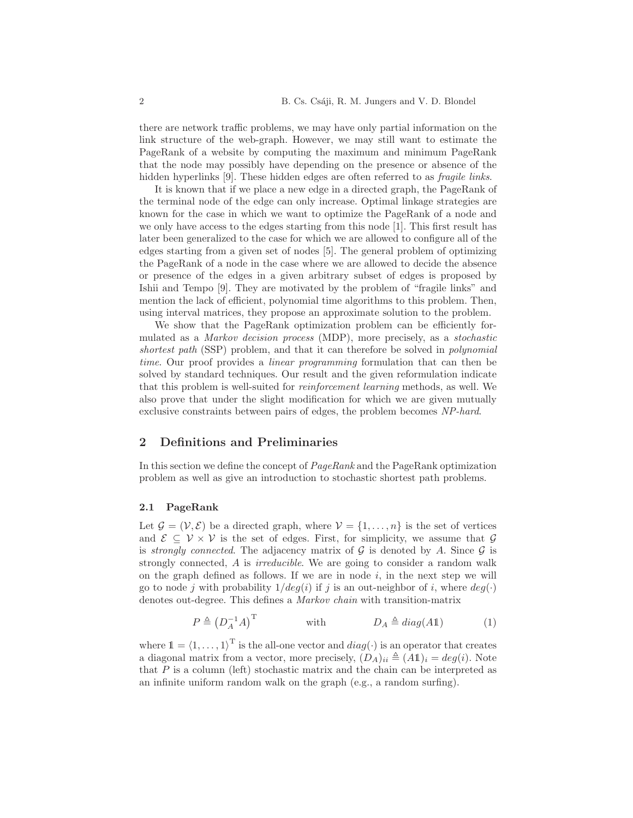there are network traffic problems, we may have only partial information on the link structure of the web-graph. However, we may still want to estimate the PageRank of a website by computing the maximum and minimum PageRank that the node may possibly have depending on the presence or absence of the hidden hyperlinks [9]. These hidden edges are often referred to as *fragile links*.

It is known that if we place a new edge in a directed graph, the PageRank of the terminal node of the edge can only increase. Optimal linkage strategies are known for the case in which we want to optimize the PageRank of a node and we only have access to the edges starting from this node [1]. This first result has later been generalized to the case for which we are allowed to configure all of the edges starting from a given set of nodes [5]. The general problem of optimizing the PageRank of a node in the case where we are allowed to decide the absence or presence of the edges in a given arbitrary subset of edges is proposed by Ishii and Tempo [9]. They are motivated by the problem of "fragile links" and mention the lack of efficient, polynomial time algorithms to this problem. Then, using interval matrices, they propose an approximate solution to the problem.

We show that the PageRank optimization problem can be efficiently formulated as a Markov decision process (MDP), more precisely, as a stochastic shortest path (SSP) problem, and that it can therefore be solved in *polynomial* time. Our proof provides a *linear programming* formulation that can then be solved by standard techniques. Our result and the given reformulation indicate that this problem is well-suited for reinforcement learning methods, as well. We also prove that under the slight modification for which we are given mutually exclusive constraints between pairs of edges, the problem becomes NP-hard.

# 2 Definitions and Preliminaries

In this section we define the concept of PageRank and the PageRank optimization problem as well as give an introduction to stochastic shortest path problems.

### 2.1 PageRank

Let  $\mathcal{G} = (\mathcal{V}, \mathcal{E})$  be a directed graph, where  $\mathcal{V} = \{1, \ldots, n\}$  is the set of vertices and  $\mathcal{E} \subseteq \mathcal{V} \times \mathcal{V}$  is the set of edges. First, for simplicity, we assume that  $\mathcal{G}$ is strongly connected. The adjacency matrix of  $\mathcal G$  is denoted by A. Since  $\mathcal G$  is strongly connected, A is irreducible. We are going to consider a random walk on the graph defined as follows. If we are in node  $i$ , in the next step we will go to node j with probability  $1/deg(i)$  if j is an out-neighbor of i, where  $deg(\cdot)$ denotes out-degree. This defines a Markov chain with transition-matrix

$$
P \triangleq (D_A^{-1}A)^{\mathrm{T}} \qquad \qquad \text{with} \qquad D_A \triangleq diag(A\mathbb{1}) \qquad (1)
$$

where  $1 = \langle 1, \ldots, 1 \rangle$ <sup>T</sup> is the all-one vector and  $diag(\cdot)$  is an operator that creates a diagonal matrix from a vector, more precisely,  $(D_A)_{ii} \triangleq (A_1)_i = deg(i)$ . Note that  $P$  is a column (left) stochastic matrix and the chain can be interpreted as an infinite uniform random walk on the graph (e.g., a random surfing).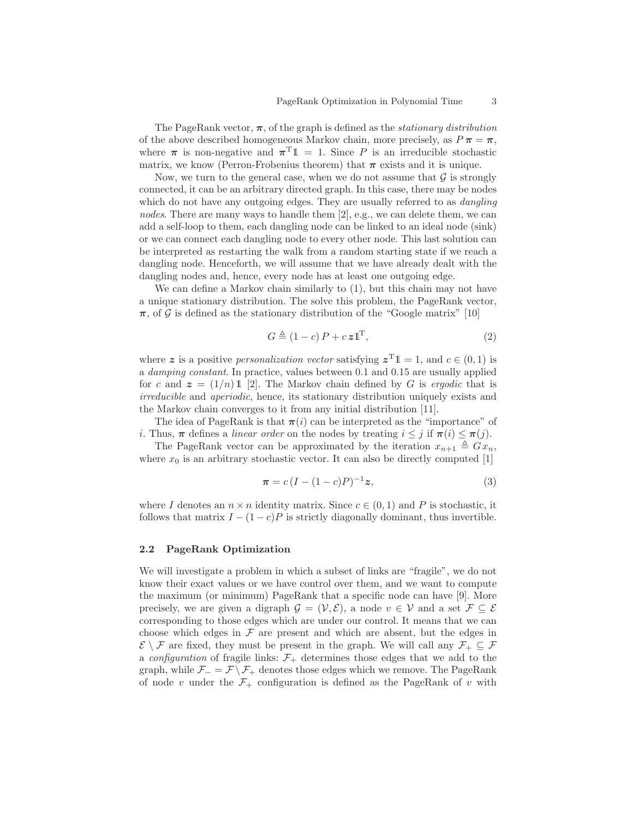The PageRank vector,  $\pi$ , of the graph is defined as the *stationary distribution* of the above described homogeneous Markov chain, more precisely, as  $P \pi = \pi$ , where  $\pi$  is non-negative and  $\pi$ <sup>T</sup>1 = 1. Since *P* is an irreducible stochastic matrix, we know (Perron-Frobenius theorem) that  $\pi$  exists and it is unique.

Now, we turn to the general case, when we do not assume that  $\mathcal G$  is strongly connected, it can be an arbitrary directed graph. In this case, there may be nodes which do not have any outgoing edges. They are usually referred to as *dangling* nodes. There are many ways to handle them [2], e.g., we can delete them, we can add a self-loop to them, each dangling node can be linked to an ideal node (sink) or we can connect each dangling node to every other node. This last solution can be interpreted as restarting the walk from a random starting state if we reach a dangling node. Henceforth, we will assume that we have already dealt with the dangling nodes and, hence, every node has at least one outgoing edge.

We can define a Markov chain similarly to  $(1)$ , but this chain may not have a unique stationary distribution. The solve this problem, the PageRank vector,  $\pi$ , of G is defined as the stationary distribution of the "Google matrix" [10]

$$
G \triangleq (1 - c) P + c z \mathbb{1}^{\mathrm{T}},\tag{2}
$$

where z is a positive *personalization vector* satisfying  $z^T \mathbb{1} = 1$ , and  $c \in (0, 1)$  is a damping constant. In practice, values between 0.1 and 0.15 are usually applied for c and  $\boldsymbol{z} = (1/n) \mathbb{1}$  [2]. The Markov chain defined by G is ergodic that is irreducible and aperiodic, hence, its stationary distribution uniquely exists and the Markov chain converges to it from any initial distribution [11].

The idea of PageRank is that  $\pi(i)$  can be interpreted as the "importance" of i. Thus,  $\pi$  defines a linear order on the nodes by treating  $i \leq j$  if  $\pi(i) \leq \pi(j)$ .

The PageRank vector can be approximated by the iteration  $x_{n+1} \triangleq Gx_n$ , where  $x_0$  is an arbitrary stochastic vector. It can also be directly computed [1]

$$
\pi = c \left( I - (1 - c)P \right)^{-1} z,\tag{3}
$$

where I denotes an  $n \times n$  identity matrix. Since  $c \in (0,1)$  and P is stochastic, it follows that matrix  $I - (1 - c)P$  is strictly diagonally dominant, thus invertible.

# 2.2 PageRank Optimization

We will investigate a problem in which a subset of links are "fragile", we do not know their exact values or we have control over them, and we want to compute the maximum (or minimum) PageRank that a specific node can have [9]. More precisely, we are given a digraph  $\mathcal{G} = (\mathcal{V}, \mathcal{E})$ , a node  $v \in \mathcal{V}$  and a set  $\mathcal{F} \subseteq \mathcal{E}$ corresponding to those edges which are under our control. It means that we can choose which edges in  $\mathcal F$  are present and which are absent, but the edges in  $\mathcal{E} \setminus \mathcal{F}$  are fixed, they must be present in the graph. We will call any  $\mathcal{F}_+ \subseteq \mathcal{F}$ a configuration of fragile links:  $\mathcal{F}_+$  determines those edges that we add to the graph, while  $\mathcal{F}_- = \mathcal{F} \setminus \mathcal{F}_+$  denotes those edges which we remove. The PageRank of node v under the  $\mathcal{F}_+$  configuration is defined as the PageRank of v with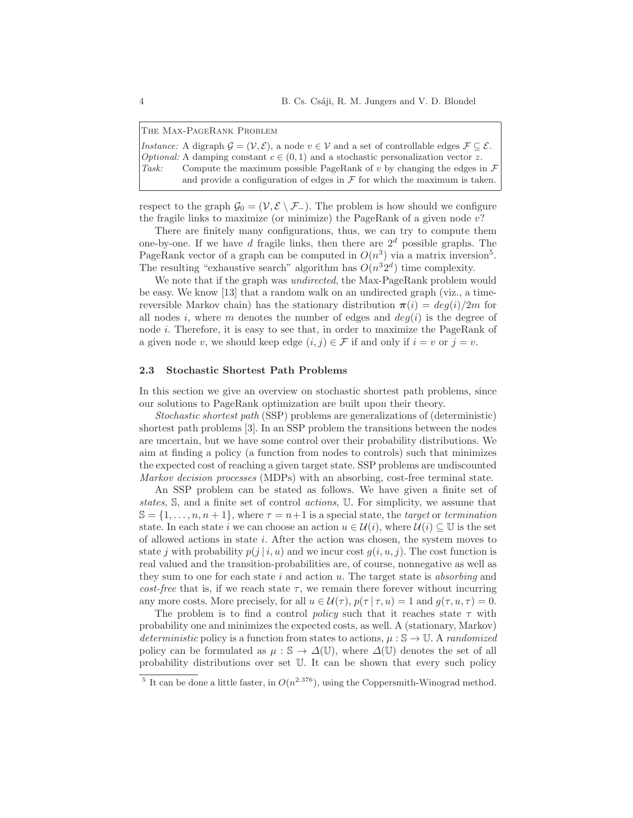The Max-PageRank Problem

|       | Instance: A digraph $\mathcal{G} = (\mathcal{V}, \mathcal{E})$ , a node $v \in \mathcal{V}$ and a set of controllable edges $\mathcal{F} \subseteq \mathcal{E}$ . |
|-------|-------------------------------------------------------------------------------------------------------------------------------------------------------------------|
|       | <i>Optional:</i> A damping constant $c \in (0, 1)$ and a stochastic personalization vector z.                                                                     |
| Task: | Compute the maximum possible PageRank of v by changing the edges in $\mathcal F$                                                                                  |
|       | and provide a configuration of edges in $\mathcal F$ for which the maximum is taken.                                                                              |
|       |                                                                                                                                                                   |

respect to the graph  $\mathcal{G}_0 = (\mathcal{V}, \mathcal{E} \setminus \mathcal{F}_-)$ . The problem is how should we configure the fragile links to maximize (or minimize) the PageRank of a given node  $v$ ?

There are finitely many configurations, thus, we can try to compute them one-by-one. If we have d fragile links, then there are  $2<sup>d</sup>$  possible graphs. The PageRank vector of a graph can be computed in  $O(n^3)$  via a matrix inversion<sup>5</sup>. The resulting "exhaustive search" algorithm has  $O(n^3 2^d)$  time complexity.

We note that if the graph was *undirected*, the Max-PageRank problem would be easy. We know [13] that a random walk on an undirected graph (viz., a timereversible Markov chain) has the stationary distribution  $\pi(i) = \deg(i)/2m$  for all nodes i, where m denotes the number of edges and  $deg(i)$  is the degree of node i. Therefore, it is easy to see that, in order to maximize the PageRank of a given node v, we should keep edge  $(i, j) \in \mathcal{F}$  if and only if  $i = v$  or  $j = v$ .

# 2.3 Stochastic Shortest Path Problems

In this section we give an overview on stochastic shortest path problems, since our solutions to PageRank optimization are built upon their theory.

Stochastic shortest path (SSP) problems are generalizations of (deterministic) shortest path problems [3]. In an SSP problem the transitions between the nodes are uncertain, but we have some control over their probability distributions. We aim at finding a policy (a function from nodes to controls) such that minimizes the expected cost of reaching a given target state. SSP problems are undiscounted Markov decision processes (MDPs) with an absorbing, cost-free terminal state.

An SSP problem can be stated as follows. We have given a finite set of states, S, and a finite set of control actions, U. For simplicity, we assume that  $\mathbb{S} = \{1, \ldots, n, n+1\}$ , where  $\tau = n+1$  is a special state, the target or termination state. In each state i we can choose an action  $u \in \mathcal{U}(i)$ , where  $\mathcal{U}(i) \subseteq \mathbb{U}$  is the set of allowed actions in state  $i$ . After the action was chosen, the system moves to state j with probability  $p(j | i, u)$  and we incur cost  $q(i, u, j)$ . The cost function is real valued and the transition-probabilities are, of course, nonnegative as well as they sum to one for each state i and action  $u$ . The target state is *absorbing* and cost-free that is, if we reach state  $\tau$ , we remain there forever without incurring any more costs. More precisely, for all  $u \in \mathcal{U}(\tau)$ ,  $p(\tau | \tau, u) = 1$  and  $q(\tau, u, \tau) = 0$ .

The problem is to find a control policy such that it reaches state  $\tau$  with probability one and minimizes the expected costs, as well. A (stationary, Markov) deterministic policy is a function from states to actions,  $\mu : \mathbb{S} \to \mathbb{U}$ . A randomized policy can be formulated as  $\mu : \mathbb{S} \to \Delta(\mathbb{U})$ , where  $\Delta(\mathbb{U})$  denotes the set of all probability distributions over set U. It can be shown that every such policy

<sup>&</sup>lt;sup>5</sup> It can be done a little faster, in  $O(n^{2.376})$ , using the Coppersmith-Winograd method.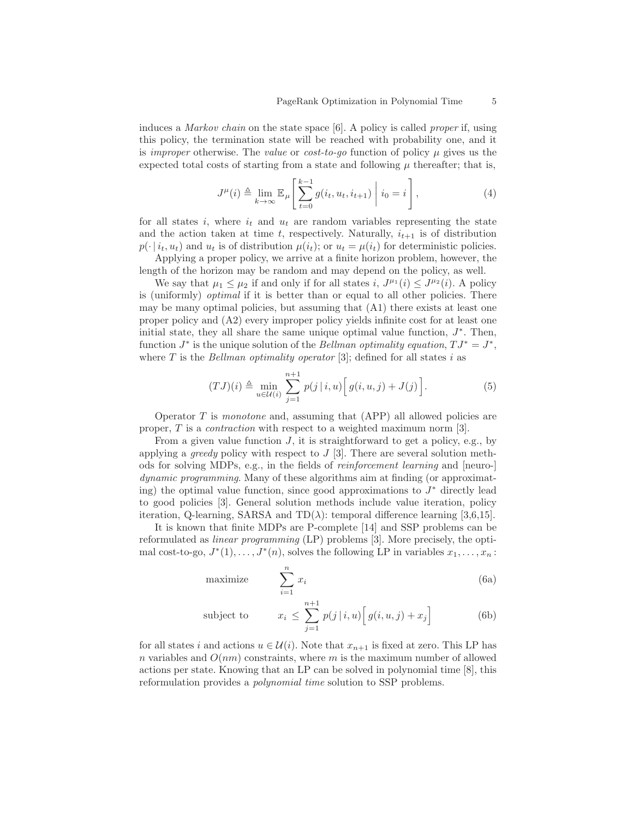induces a Markov chain on the state space [6]. A policy is called proper if, using this policy, the termination state will be reached with probability one, and it is *improper* otherwise. The *value* or *cost-to-go* function of policy  $\mu$  gives us the expected total costs of starting from a state and following  $\mu$  thereafter; that is,

$$
J^{\mu}(i) \triangleq \lim_{k \to \infty} \mathbb{E}_{\mu} \left[ \sum_{t=0}^{k-1} g(i_t, u_t, i_{t+1}) \middle| i_0 = i \right], \tag{4}
$$

for all states i, where  $i_t$  and  $u_t$  are random variables representing the state and the action taken at time t, respectively. Naturally,  $i_{t+1}$  is of distribution  $p(\cdot | i_t, u_t)$  and  $u_t$  is of distribution  $\mu(i_t)$ ; or  $u_t = \mu(i_t)$  for deterministic policies.

Applying a proper policy, we arrive at a finite horizon problem, however, the length of the horizon may be random and may depend on the policy, as well.

We say that  $\mu_1 \leq \mu_2$  if and only if for all states i,  $J^{\mu_1}(i) \leq J^{\mu_2}(i)$ . A policy is (uniformly) optimal if it is better than or equal to all other policies. There may be many optimal policies, but assuming that  $(A1)$  there exists at least one proper policy and (A2) every improper policy yields infinite cost for at least one initial state, they all share the same unique optimal value function,  $J^*$ . Then, function  $J^*$  is the unique solution of the Bellman optimality equation,  $T J^* = J^*$ , where  $T$  is the *Bellman optimality operator* [3]; defined for all states  $i$  as

$$
(TJ)(i) \triangleq \min_{u \in \mathcal{U}(i)} \sum_{j=1}^{n+1} p(j \mid i, u) \Big[ g(i, u, j) + J(j) \Big]. \tag{5}
$$

Operator  $T$  is *monotone* and, assuming that  $(\text{APP})$  all allowed policies are proper, T is a contraction with respect to a weighted maximum norm [3].

From a given value function  $J$ , it is straightforward to get a policy, e.g., by applying a greedy policy with respect to  $J$  [3]. There are several solution methods for solving MDPs, e.g., in the fields of reinforcement learning and [neuro-] dynamic programming. Many of these algorithms aim at finding (or approximating) the optimal value function, since good approximations to  $J^*$  directly lead to good policies [3]. General solution methods include value iteration, policy iteration, Q-learning, SARSA and  $TD(\lambda)$ : temporal difference learning [3,6,15].

It is known that finite MDPs are P-complete [14] and SSP problems can be reformulated as linear programming (LP) problems [3]. More precisely, the optimal cost-to-go,  $J^*(1), \ldots, J^*(n)$ , solves the following LP in variables  $x_1, \ldots, x_n$ :

$$
\text{maximize} \qquad \sum_{i=1}^{n} x_i \tag{6a}
$$

subject to 
$$
x_i \leq \sum_{j=1}^{n+1} p(j|i, u) \Big[ g(i, u, j) + x_j \Big]
$$
 (6b)

for all states i and actions  $u \in \mathcal{U}(i)$ . Note that  $x_{n+1}$  is fixed at zero. This LP has n variables and  $O(nm)$  constraints, where m is the maximum number of allowed actions per state. Knowing that an LP can be solved in polynomial time [8], this reformulation provides a polynomial time solution to SSP problems.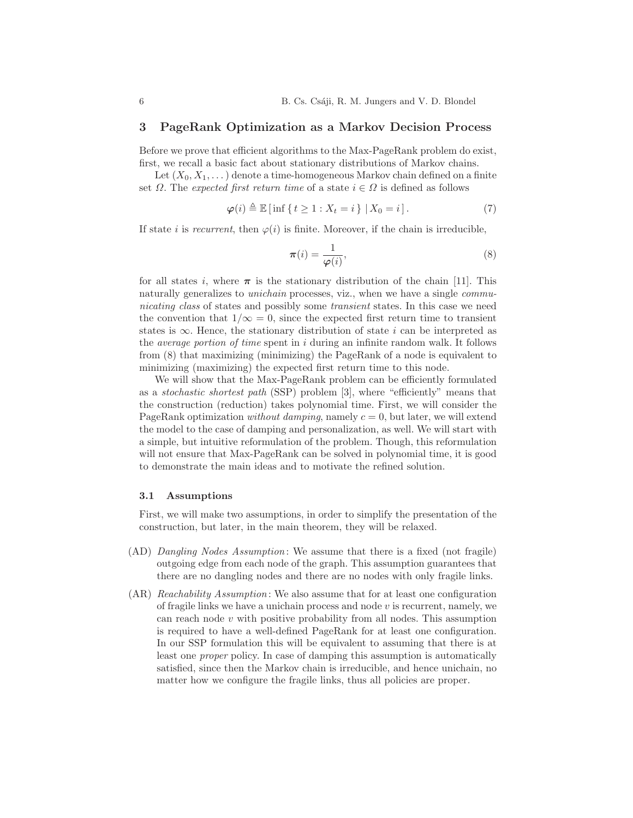# 3 PageRank Optimization as a Markov Decision Process

Before we prove that efficient algorithms to the Max-PageRank problem do exist, first, we recall a basic fact about stationary distributions of Markov chains.

Let  $(X_0, X_1, \dots)$  denote a time-homogeneous Markov chain defined on a finite set  $\Omega$ . The expected first return time of a state  $i \in \Omega$  is defined as follows

$$
\varphi(i) \triangleq \mathbb{E} \left[ \inf \left\{ t \ge 1 : X_t = i \right\} \mid X_0 = i \right]. \tag{7}
$$

If state *i* is recurrent, then  $\varphi(i)$  is finite. Moreover, if the chain is irreducible,

$$
\pi(i) = \frac{1}{\varphi(i)},\tag{8}
$$

for all states i, where  $\pi$  is the stationary distribution of the chain [11]. This naturally generalizes to unichain processes, viz., when we have a single communicating class of states and possibly some *transient* states. In this case we need the convention that  $1/\infty = 0$ , since the expected first return time to transient states is  $\infty$ . Hence, the stationary distribution of state i can be interpreted as the *average portion of time* spent in  $i$  during an infinite random walk. It follows from (8) that maximizing (minimizing) the PageRank of a node is equivalent to minimizing (maximizing) the expected first return time to this node.

We will show that the Max-PageRank problem can be efficiently formulated as a stochastic shortest path (SSP) problem [3], where "efficiently" means that the construction (reduction) takes polynomial time. First, we will consider the PageRank optimization *without damping*, namely  $c = 0$ , but later, we will extend the model to the case of damping and personalization, as well. We will start with a simple, but intuitive reformulation of the problem. Though, this reformulation will not ensure that Max-PageRank can be solved in polynomial time, it is good to demonstrate the main ideas and to motivate the refined solution.

#### 3.1 Assumptions

First, we will make two assumptions, in order to simplify the presentation of the construction, but later, in the main theorem, they will be relaxed.

- (AD) Dangling Nodes Assumption : We assume that there is a fixed (not fragile) outgoing edge from each node of the graph. This assumption guarantees that there are no dangling nodes and there are no nodes with only fragile links.
- (AR) Reachability Assumption : We also assume that for at least one configuration of fragile links we have a unichain process and node  $v$  is recurrent, namely, we can reach node  $v$  with positive probability from all nodes. This assumption is required to have a well-defined PageRank for at least one configuration. In our SSP formulation this will be equivalent to assuming that there is at least one proper policy. In case of damping this assumption is automatically satisfied, since then the Markov chain is irreducible, and hence unichain, no matter how we configure the fragile links, thus all policies are proper.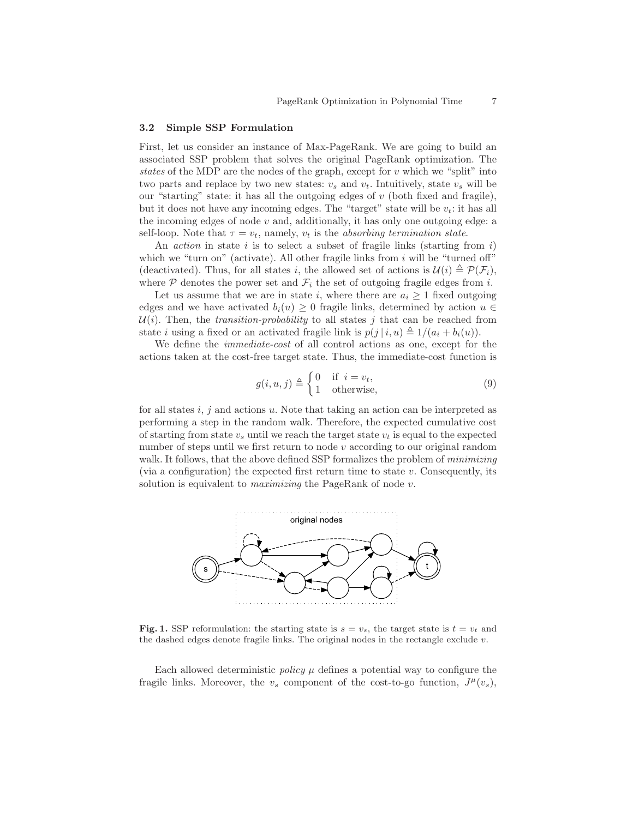#### 3.2 Simple SSP Formulation

First, let us consider an instance of Max-PageRank. We are going to build an associated SSP problem that solves the original PageRank optimization. The states of the MDP are the nodes of the graph, except for  $v$  which we "split" into two parts and replace by two new states:  $v_s$  and  $v_t$ . Intuitively, state  $v_s$  will be our "starting" state: it has all the outgoing edges of  $v$  (both fixed and fragile), but it does not have any incoming edges. The "target" state will be  $v_t$ : it has all the incoming edges of node  $v$  and, additionally, it has only one outgoing edge: a self-loop. Note that  $\tau = v_t$ , namely,  $v_t$  is the absorbing termination state.

An *action* in state i is to select a subset of fragile links (starting from i) which we "turn on" (activate). All other fragile links from  $i$  will be "turned off" (deactivated). Thus, for all states i, the allowed set of actions is  $\mathcal{U}(i) \triangleq \mathcal{P}(\mathcal{F}_i)$ , where  $P$  denotes the power set and  $\mathcal{F}_i$  the set of outgoing fragile edges from i.

Let us assume that we are in state i, where there are  $a_i \geq 1$  fixed outgoing edges and we have activated  $b_i(u) \geq 0$  fragile links, determined by action  $u \in$  $U(i)$ . Then, the *transition-probability* to all states j that can be reached from state i using a fixed or an activated fragile link is  $p(j | i, u) \triangleq 1/(a_i + b_i(u)).$ 

We define the immediate-cost of all control actions as one, except for the actions taken at the cost-free target state. Thus, the immediate-cost function is

$$
g(i, u, j) \triangleq \begin{cases} 0 & \text{if } i = v_t, \\ 1 & \text{otherwise,} \end{cases}
$$
 (9)

for all states  $i, j$  and actions  $u$ . Note that taking an action can be interpreted as performing a step in the random walk. Therefore, the expected cumulative cost of starting from state  $v_s$  until we reach the target state  $v_t$  is equal to the expected number of steps until we first return to node  $v$  according to our original random walk. It follows, that the above defined SSP formalizes the problem of *minimizing* (via a configuration) the expected first return time to state v. Consequently, its solution is equivalent to *maximizing* the PageRank of node v.



Fig. 1. SSP reformulation: the starting state is  $s = v_s$ , the target state is  $t = v_t$  and the dashed edges denote fragile links. The original nodes in the rectangle exclude  $v$ .

Each allowed deterministic *policy*  $\mu$  defines a potential way to configure the fragile links. Moreover, the  $v_s$  component of the cost-to-go function,  $J^{\mu}(v_s)$ ,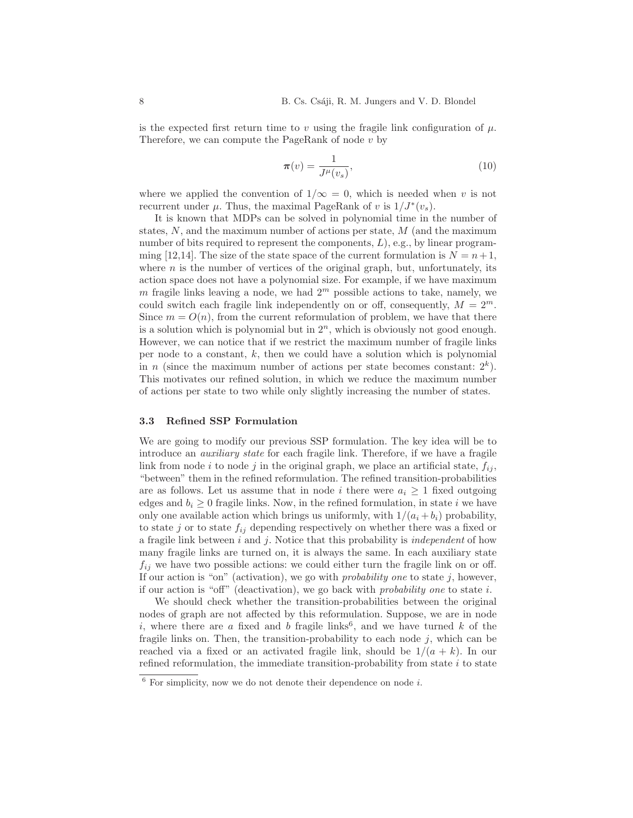is the expected first return time to v using the fragile link configuration of  $\mu$ . Therefore, we can compute the PageRank of node  $v$  by

$$
\pi(v) = \frac{1}{J^{\mu}(v_s)},\tag{10}
$$

where we applied the convention of  $1/\infty = 0$ , which is needed when v is not recurrent under  $\mu$ . Thus, the maximal PageRank of v is  $1/J^*(v_s)$ .

It is known that MDPs can be solved in polynomial time in the number of states,  $N$ , and the maximum number of actions per state,  $M$  (and the maximum number of bits required to represent the components,  $L$ ), e.g., by linear programming [12,14]. The size of the state space of the current formulation is  $N = n + 1$ , where  $n$  is the number of vertices of the original graph, but, unfortunately, its action space does not have a polynomial size. For example, if we have maximum  $m$  fragile links leaving a node, we had  $2<sup>m</sup>$  possible actions to take, namely, we could switch each fragile link independently on or off, consequently,  $M = 2<sup>m</sup>$ . Since  $m = O(n)$ , from the current reformulation of problem, we have that there is a solution which is polynomial but in  $2<sup>n</sup>$ , which is obviously not good enough. However, we can notice that if we restrict the maximum number of fragile links per node to a constant,  $k$ , then we could have a solution which is polynomial in *n* (since the maximum number of actions per state becomes constant:  $2^k$ ). This motivates our refined solution, in which we reduce the maximum number of actions per state to two while only slightly increasing the number of states.

# 3.3 Refined SSP Formulation

We are going to modify our previous SSP formulation. The key idea will be to introduce an auxiliary state for each fragile link. Therefore, if we have a fragile link from node i to node j in the original graph, we place an artificial state,  $f_{ij}$ , "between" them in the refined reformulation. The refined transition-probabilities are as follows. Let us assume that in node i there were  $a_i \geq 1$  fixed outgoing edges and  $b_i \geq 0$  fragile links. Now, in the refined formulation, in state i we have only one available action which brings us uniformly, with  $1/(a_i + b_i)$  probability, to state j or to state  $f_{ij}$  depending respectively on whether there was a fixed or a fragile link between  $i$  and  $j$ . Notice that this probability is *independent* of how many fragile links are turned on, it is always the same. In each auxiliary state  $f_{ij}$  we have two possible actions: we could either turn the fragile link on or off. If our action is "on" (activation), we go with *probability one* to state  $j$ , however, if our action is "off" (deactivation), we go back with *probability one* to state  $i$ .

We should check whether the transition-probabilities between the original nodes of graph are not affected by this reformulation. Suppose, we are in node i, where there are a fixed and b fragile links<sup>6</sup>, and we have turned k of the fragile links on. Then, the transition-probability to each node  $i$ , which can be reached via a fixed or an activated fragile link, should be  $1/(a + k)$ . In our refined reformulation, the immediate transition-probability from state  $i$  to state

 $6$  For simplicity, now we do not denote their dependence on node i.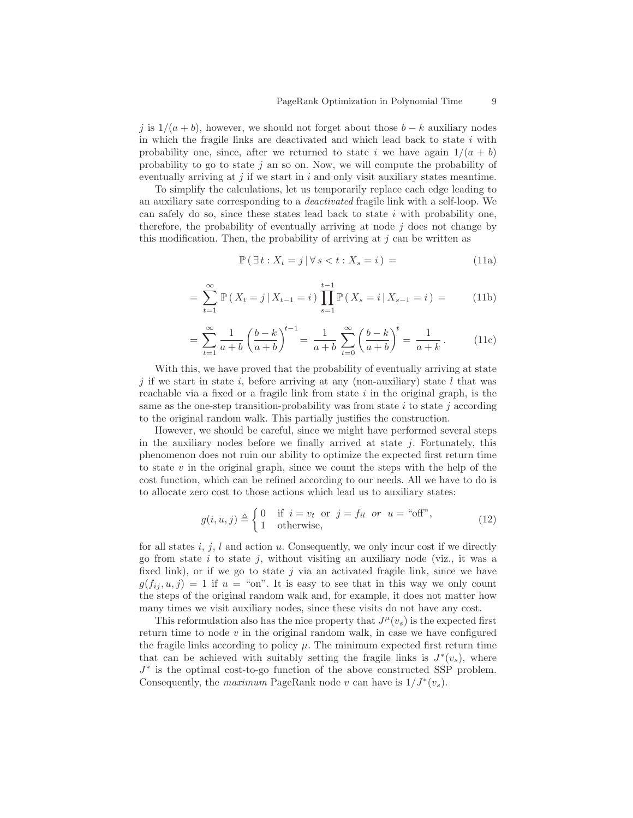j is  $1/(a + b)$ , however, we should not forget about those  $b - k$  auxiliary nodes in which the fragile links are deactivated and which lead back to state  $i$  with probability one, since, after we returned to state i we have again  $1/(a + b)$ probability to go to state  $j$  an so on. Now, we will compute the probability of eventually arriving at  $j$  if we start in i and only visit auxiliary states meantime.

To simplify the calculations, let us temporarily replace each edge leading to an auxiliary sate corresponding to a deactivated fragile link with a self-loop. We can safely do so, since these states lead back to state  $i$  with probability one, therefore, the probability of eventually arriving at node  $j$  does not change by this modification. Then, the probability of arriving at  $j$  can be written as

$$
\mathbb{P}(\exists t: X_t = j \,|\, \forall s < t: X_s = i) = \tag{11a}
$$

$$
= \sum_{t=1}^{\infty} \mathbb{P}\left(X_t = j \,|\, X_{t-1} = i\right) \prod_{s=1}^{t-1} \mathbb{P}\left(X_s = i \,|\, X_{s-1} = i\right) = \tag{11b}
$$

$$
= \sum_{t=1}^{\infty} \frac{1}{a+b} \left(\frac{b-k}{a+b}\right)^{t-1} = \frac{1}{a+b} \sum_{t=0}^{\infty} \left(\frac{b-k}{a+b}\right)^t = \frac{1}{a+k}.
$$
 (11c)

With this, we have proved that the probability of eventually arriving at state j if we start in state i, before arriving at any (non-auxiliary) state l that was reachable via a fixed or a fragile link from state  $i$  in the original graph, is the same as the one-step transition-probability was from state  $i$  to state  $j$  according to the original random walk. This partially justifies the construction.

However, we should be careful, since we might have performed several steps in the auxiliary nodes before we finally arrived at state  $j$ . Fortunately, this phenomenon does not ruin our ability to optimize the expected first return time to state  $v$  in the original graph, since we count the steps with the help of the cost function, which can be refined according to our needs. All we have to do is to allocate zero cost to those actions which lead us to auxiliary states:

$$
g(i, u, j) \triangleq \begin{cases} 0 & \text{if } i = v_t \text{ or } j = f_{il} \text{ or } u = \text{``off''}, \\ 1 & \text{otherwise}, \end{cases}
$$
(12)

for all states i, j, l and action u. Consequently, we only incur cost if we directly go from state  $i$  to state  $j$ , without visiting an auxiliary node (viz., it was a fixed link), or if we go to state j via an activated fragile link, since we have  $g(f_{ij}, u, j) = 1$  if  $u = "on".$  It is easy to see that in this way we only count the steps of the original random walk and, for example, it does not matter how many times we visit auxiliary nodes, since these visits do not have any cost.

This reformulation also has the nice property that  $J^{\mu}(v_s)$  is the expected first return time to node  $v$  in the original random walk, in case we have configured the fragile links according to policy  $\mu$ . The minimum expected first return time that can be achieved with suitably setting the fragile links is  $J^*(v_s)$ , where J ∗ is the optimal cost-to-go function of the above constructed SSP problem. Consequently, the *maximum* PageRank node v can have is  $1/J^*(v_s)$ .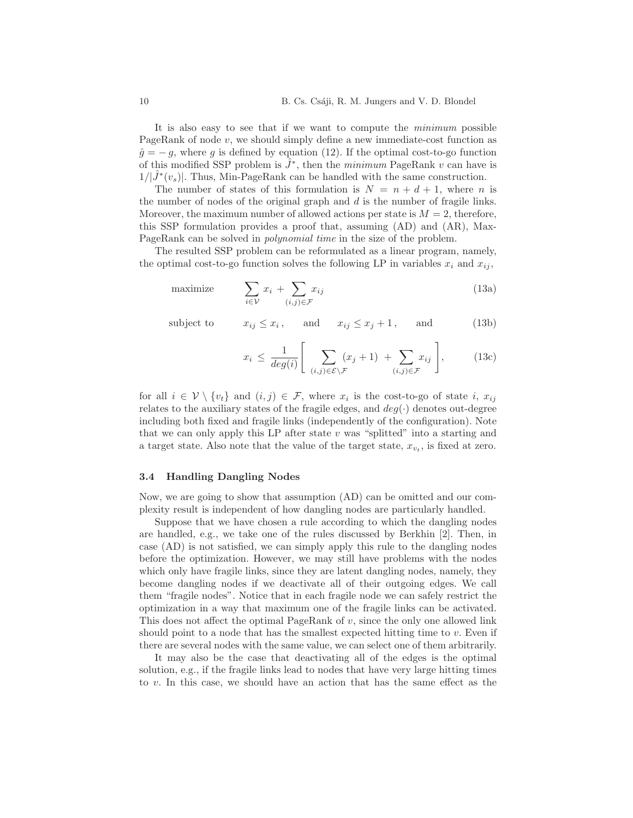It is also easy to see that if we want to compute the minimum possible PageRank of node  $v$ , we should simply define a new immediate-cost function as  $\hat{g} = -g$ , where g is defined by equation (12). If the optimal cost-to-go function of this modified SSP problem is  $\hat{J}^*$ , then the *minimum* PageRank v can have is  $1/|\hat{J}^*(v_s)|$ . Thus, Min-PageRank can be handled with the same construction.

The number of states of this formulation is  $N = n + d + 1$ , where n is the number of nodes of the original graph and  $d$  is the number of fragile links. Moreover, the maximum number of allowed actions per state is  $M = 2$ , therefore, this SSP formulation provides a proof that, assuming (AD) and (AR), Max-PageRank can be solved in *polynomial time* in the size of the problem.

The resulted SSP problem can be reformulated as a linear program, namely, the optimal cost-to-go function solves the following LP in variables  $x_i$  and  $x_{ij}$ ,

$$
\text{ze} \qquad \sum_{i \in \mathcal{V}} x_i + \sum_{(i,j) \in \mathcal{F}} x_{ij} \tag{13a}
$$

subjec

maximi

$$
x_{ij} \le x_i, \quad \text{and} \quad x_{ij} \le x_j + 1, \quad \text{and} \quad (13b)
$$

$$
x_i \le \frac{1}{deg(i)} \left[ \sum_{(i,j) \in \mathcal{E} \setminus \mathcal{F}} (x_j + 1) + \sum_{(i,j) \in \mathcal{F}} x_{ij} \right], \tag{13c}
$$

for all  $i \in \mathcal{V} \setminus \{v_t\}$  and  $(i, j) \in \mathcal{F}$ , where  $x_i$  is the cost-to-go of state i,  $x_{ij}$ relates to the auxiliary states of the fragile edges, and  $deg(\cdot)$  denotes out-degree including both fixed and fragile links (independently of the configuration). Note that we can only apply this LP after state  $v$  was "splitted" into a starting and a target state. Also note that the value of the target state,  $x_{v_t}$ , is fixed at zero.

#### 3.4 Handling Dangling Nodes

Now, we are going to show that assumption (AD) can be omitted and our complexity result is independent of how dangling nodes are particularly handled.

Suppose that we have chosen a rule according to which the dangling nodes are handled, e.g., we take one of the rules discussed by Berkhin [2]. Then, in case (AD) is not satisfied, we can simply apply this rule to the dangling nodes before the optimization. However, we may still have problems with the nodes which only have fragile links, since they are latent dangling nodes, namely, they become dangling nodes if we deactivate all of their outgoing edges. We call them "fragile nodes". Notice that in each fragile node we can safely restrict the optimization in a way that maximum one of the fragile links can be activated. This does not affect the optimal PageRank of  $v$ , since the only one allowed link should point to a node that has the smallest expected hitting time to  $v$ . Even if there are several nodes with the same value, we can select one of them arbitrarily.

It may also be the case that deactivating all of the edges is the optimal solution, e.g., if the fragile links lead to nodes that have very large hitting times to v. In this case, we should have an action that has the same effect as the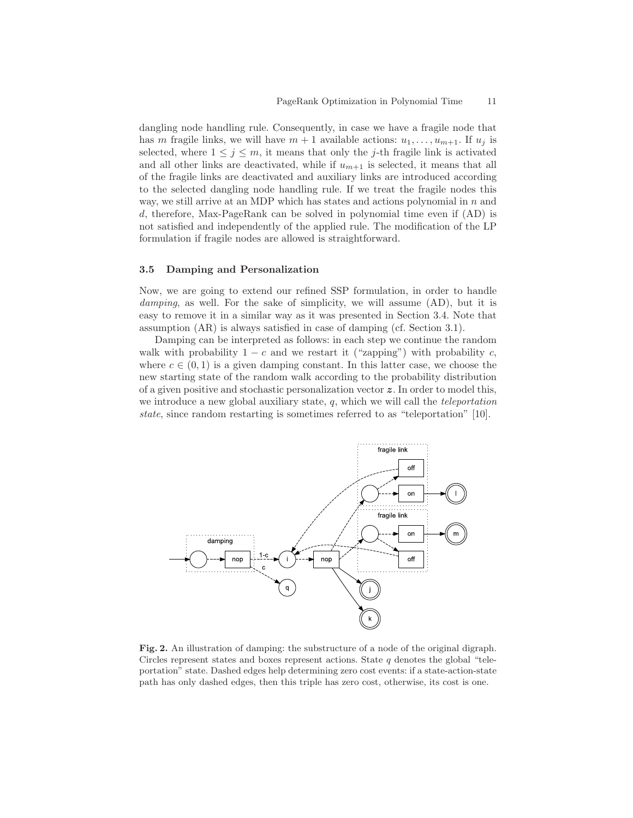dangling node handling rule. Consequently, in case we have a fragile node that has m fragile links, we will have  $m + 1$  available actions:  $u_1, \ldots, u_{m+1}$ . If  $u_j$  is selected, where  $1 \leq j \leq m$ , it means that only the j-th fragile link is activated and all other links are deactivated, while if  $u_{m+1}$  is selected, it means that all of the fragile links are deactivated and auxiliary links are introduced according to the selected dangling node handling rule. If we treat the fragile nodes this way, we still arrive at an MDP which has states and actions polynomial in  $n$  and d, therefore, Max-PageRank can be solved in polynomial time even if (AD) is not satisfied and independently of the applied rule. The modification of the LP formulation if fragile nodes are allowed is straightforward.

# 3.5 Damping and Personalization

Now, we are going to extend our refined SSP formulation, in order to handle damping, as well. For the sake of simplicity, we will assume (AD), but it is easy to remove it in a similar way as it was presented in Section 3.4. Note that assumption (AR) is always satisfied in case of damping (cf. Section 3.1).

Damping can be interpreted as follows: in each step we continue the random walk with probability  $1 - c$  and we restart it ("zapping") with probability c, where  $c \in (0, 1)$  is a given damping constant. In this latter case, we choose the new starting state of the random walk according to the probability distribution of a given positive and stochastic personalization vector  $\boldsymbol{z}$ . In order to model this, we introduce a new global auxiliary state,  $q$ , which we will call the *teleportation* state, since random restarting is sometimes referred to as "teleportation" [10].



Fig. 2. An illustration of damping: the substructure of a node of the original digraph. Circles represent states and boxes represent actions. State  $q$  denotes the global "teleportation" state. Dashed edges help determining zero cost events: if a state-action-state path has only dashed edges, then this triple has zero cost, otherwise, its cost is one.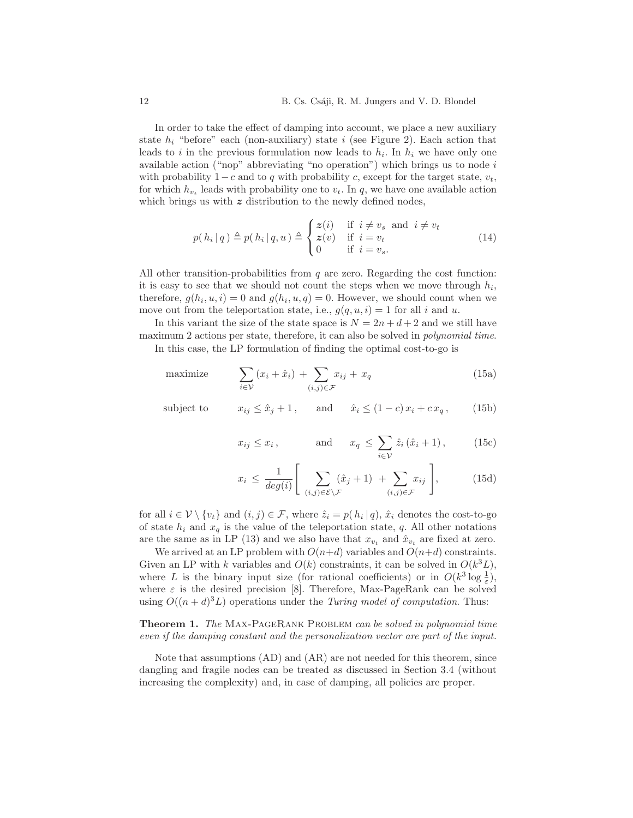In order to take the effect of damping into account, we place a new auxiliary state  $h_i$  "before" each (non-auxiliary) state i (see Figure 2). Each action that leads to i in the previous formulation now leads to  $h_i$ . In  $h_i$  we have only one available action ("nop" abbreviating "no operation") which brings us to node  $i$ with probability  $1-c$  and to q with probability c, except for the target state,  $v_t$ , for which  $h_{v_t}$  leads with probability one to  $v_t$ . In q, we have one available action which brings us with  $z$  distribution to the newly defined nodes,

$$
p(h_i | q) \triangleq p(h_i | q, u) \triangleq \begin{cases} z(i) & \text{if } i \neq v_s \text{ and } i \neq v_t \\ z(v) & \text{if } i = v_t \\ 0 & \text{if } i = v_s. \end{cases}
$$
 (14)

All other transition-probabilities from  $q$  are zero. Regarding the cost function: it is easy to see that we should not count the steps when we move through  $h_i$ , therefore,  $g(h_i, u, i) = 0$  and  $g(h_i, u, q) = 0$ . However, we should count when we move out from the teleportation state, i.e.,  $g(q, u, i) = 1$  for all i and u.

In this variant the size of the state space is  $N = 2n + d + 2$  and we still have maximum 2 actions per state, therefore, it can also be solved in *polynomial time*.

In this case, the LP formulation of finding the optimal cost-to-go is

maximize

$$
\sum_{i \in \mathcal{V}} (x_i + \hat{x}_i) + \sum_{(i,j) \in \mathcal{F}} x_{ij} + x_q
$$
 (15a)

subject to  $x_{ij}$ 

$$
\leq \hat{x}_j + 1
$$
, and  $\hat{x}_i \leq (1 - c)x_i + cx_q$ , (15b)

$$
x_{ij} \leq x_i
$$
, and  $x_q \leq \sum_{i \in \mathcal{V}} \hat{z}_i (\hat{x}_i + 1)$ , (15c)

$$
x_i \le \frac{1}{deg(i)} \left[ \sum_{(i,j) \in \mathcal{E} \setminus \mathcal{F}} (\hat{x}_j + 1) + \sum_{(i,j) \in \mathcal{F}} x_{ij} \right], \tag{15d}
$$

for all  $i \in \mathcal{V} \setminus \{v_t\}$  and  $(i, j) \in \mathcal{F}$ , where  $\hat{z}_i = p(h_i | q)$ ,  $\hat{x}_i$  denotes the cost-to-go of state  $h_i$  and  $x_q$  is the value of the teleportation state, q. All other notations are the same as in LP (13) and we also have that  $x_{v_t}$  and  $\hat{x}_{v_t}$  are fixed at zero.

We arrived at an LP problem with  $O(n+d)$  variables and  $O(n+d)$  constraints. Given an LP with k variables and  $O(k)$  constraints, it can be solved in  $O(k^3L)$ , where L is the binary input size (for rational coefficients) or in  $O(k^3 \log \frac{1}{\varepsilon})$ , where  $\varepsilon$  is the desired precision [8]. Therefore, Max-PageRank can be solved using  $O((n+d)^3L)$  operations under the *Turing model of computation*. Thus:

**Theorem 1.** The MAX-PAGERANK PROBLEM can be solved in polynomial time even if the damping constant and the personalization vector are part of the input.

Note that assumptions (AD) and (AR) are not needed for this theorem, since dangling and fragile nodes can be treated as discussed in Section 3.4 (without increasing the complexity) and, in case of damping, all policies are proper.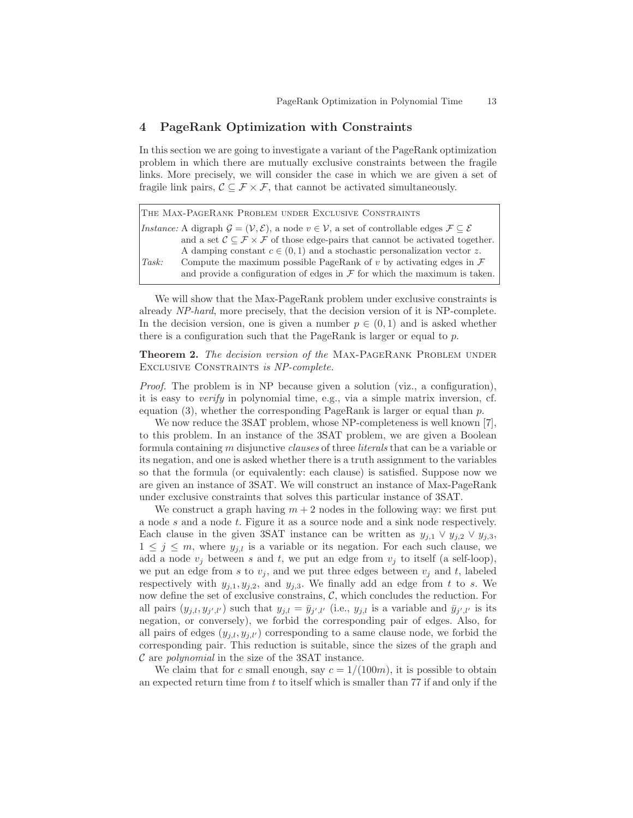# 4 PageRank Optimization with Constraints

In this section we are going to investigate a variant of the PageRank optimization problem in which there are mutually exclusive constraints between the fragile links. More precisely, we will consider the case in which we are given a set of fragile link pairs,  $C \subseteq \mathcal{F} \times \mathcal{F}$ , that cannot be activated simultaneously.

|       | THE MAX-PAGERANK PROBLEM UNDER EXCLUSIVE CONSTRAINTS                                                                                                          |
|-------|---------------------------------------------------------------------------------------------------------------------------------------------------------------|
|       | Instance: A digraph $\mathcal{G} = (\mathcal{V}, \mathcal{E})$ , a node $v \in \mathcal{V}$ , a set of controllable edges $\mathcal{F} \subseteq \mathcal{E}$ |
|       | and a set $\mathcal{C} \subseteq \mathcal{F} \times \mathcal{F}$ of those edge-pairs that cannot be activated together.                                       |
|       | A damping constant $c \in (0,1)$ and a stochastic personalization vector z.                                                                                   |
| Task: | Compute the maximum possible PageRank of v by activating edges in $\mathcal F$                                                                                |
|       | and provide a configuration of edges in $\mathcal F$ for which the maximum is taken.                                                                          |

We will show that the Max-PageRank problem under exclusive constraints is already NP-hard, more precisely, that the decision version of it is NP-complete. In the decision version, one is given a number  $p \in (0,1)$  and is asked whether there is a configuration such that the PageRank is larger or equal to p.

Theorem 2. The decision version of the MAX-PAGERANK PROBLEM UNDER EXCLUSIVE CONSTRAINTS is NP-complete.

Proof. The problem is in NP because given a solution (viz., a configuration), it is easy to verify in polynomial time, e.g., via a simple matrix inversion, cf. equation (3), whether the corresponding PageRank is larger or equal than  $p$ .

We now reduce the 3SAT problem, whose NP-completeness is well known [7], to this problem. In an instance of the 3SAT problem, we are given a Boolean formula containing m disjunctive clauses of three literals that can be a variable or its negation, and one is asked whether there is a truth assignment to the variables so that the formula (or equivalently: each clause) is satisfied. Suppose now we are given an instance of 3SAT. We will construct an instance of Max-PageRank under exclusive constraints that solves this particular instance of 3SAT.

We construct a graph having  $m + 2$  nodes in the following way: we first put a node s and a node t. Figure it as a source node and a sink node respectively. Each clause in the given 3SAT instance can be written as  $y_{i,1} \vee y_{i,2} \vee y_{i,3}$ ,  $1 \leq j \leq m$ , where  $y_{i,l}$  is a variable or its negation. For each such clause, we add a node  $v_j$  between s and t, we put an edge from  $v_j$  to itself (a self-loop), we put an edge from s to  $v_j$ , and we put three edges between  $v_j$  and t, labeled respectively with  $y_{j,1}, y_{j,2}$ , and  $y_{j,3}$ . We finally add an edge from t to s. We now define the set of exclusive constrains,  $C$ , which concludes the reduction. For all pairs  $(y_{j,l}, y_{j',l'})$  such that  $y_{j,l} = \bar{y}_{j',l'}$  (i.e.,  $y_{j,l}$  is a variable and  $\bar{y}_{j',l'}$  is its negation, or conversely), we forbid the corresponding pair of edges. Also, for all pairs of edges  $(y_{i,l}, y_{i,l'})$  corresponding to a same clause node, we forbid the corresponding pair. This reduction is suitable, since the sizes of the graph and  $\mathcal C$  are *polynomial* in the size of the 3SAT instance.

We claim that for c small enough, say  $c = 1/(100m)$ , it is possible to obtain an expected return time from  $t$  to itself which is smaller than 77 if and only if the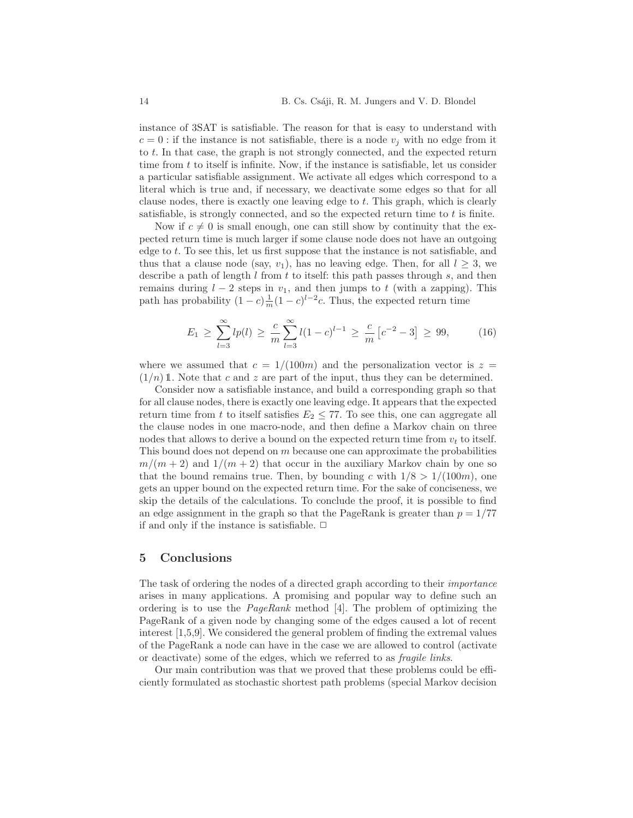instance of 3SAT is satisfiable. The reason for that is easy to understand with  $c = 0$ : if the instance is not satisfiable, there is a node  $v_i$  with no edge from it to t. In that case, the graph is not strongly connected, and the expected return time from  $t$  to itself is infinite. Now, if the instance is satisfiable, let us consider a particular satisfiable assignment. We activate all edges which correspond to a literal which is true and, if necessary, we deactivate some edges so that for all clause nodes, there is exactly one leaving edge to t. This graph, which is clearly satisfiable, is strongly connected, and so the expected return time to  $t$  is finite.

Now if  $c \neq 0$  is small enough, one can still show by continuity that the expected return time is much larger if some clause node does not have an outgoing edge to t. To see this, let us first suppose that the instance is not satisfiable, and thus that a clause node (say,  $v_1$ ), has no leaving edge. Then, for all  $l \geq 3$ , we describe a path of length  $l$  from  $t$  to itself: this path passes through  $s$ , and then remains during  $l - 2$  steps in  $v_1$ , and then jumps to t (with a zapping). This path has probability  $(1-c)\frac{1}{m}(1-c)^{l-2}c$ . Thus, the expected return time

$$
E_1 \ge \sum_{l=3}^{\infty} l p(l) \ge \frac{c}{m} \sum_{l=3}^{\infty} l (1 - c)^{l-1} \ge \frac{c}{m} \left[ c^{-2} - 3 \right] \ge 99, \tag{16}
$$

where we assumed that  $c = 1/(100m)$  and the personalization vector is  $z =$  $(1/n)$  1. Note that c and z are part of the input, thus they can be determined.

Consider now a satisfiable instance, and build a corresponding graph so that for all clause nodes, there is exactly one leaving edge. It appears that the expected return time from t to itself satisfies  $E_2 \leq 77$ . To see this, one can aggregate all the clause nodes in one macro-node, and then define a Markov chain on three nodes that allows to derive a bound on the expected return time from  $v_t$  to itself. This bound does not depend on m because one can approximate the probabilities  $m/(m+2)$  and  $1/(m+2)$  that occur in the auxiliary Markov chain by one so that the bound remains true. Then, by bounding c with  $1/8 > 1/(100m)$ , one gets an upper bound on the expected return time. For the sake of conciseness, we skip the details of the calculations. To conclude the proof, it is possible to find an edge assignment in the graph so that the PageRank is greater than  $p = 1/77$ if and only if the instance is satisfiable.  $\Box$ 

# 5 Conclusions

The task of ordering the nodes of a directed graph according to their importance arises in many applications. A promising and popular way to define such an ordering is to use the PageRank method [4]. The problem of optimizing the PageRank of a given node by changing some of the edges caused a lot of recent interest [1,5,9]. We considered the general problem of finding the extremal values of the PageRank a node can have in the case we are allowed to control (activate or deactivate) some of the edges, which we referred to as fragile links.

Our main contribution was that we proved that these problems could be efficiently formulated as stochastic shortest path problems (special Markov decision